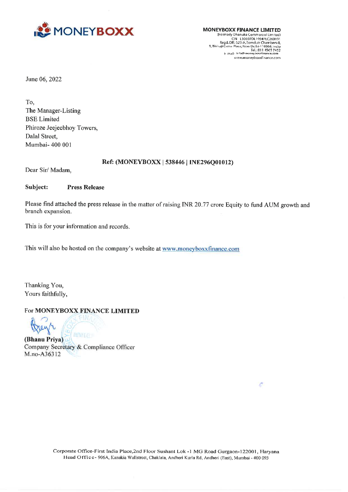

CIN - L30007DL1994PLC260191<br>Regd. Off.: 523-A, Samdutt Chambers-ll,<br>9, Bhikaji Cama Place, New Delhi-1 10066, India Tel.:011 4505 7452 E mall: Intat® money baxxtinance.com wiywamoneyboxxfinance.com

c

June 06, 2022

To, The Manager-Listing BSE Limited Phiroze Jeejeebhoy Towers, Dalal Street, Mumbai- 400 001

### Ref: (MONEYBOXxX | 538446 | INE296Q01012)

Dear Sir/ Madam,

Subject: Press Release

Please find attached the press release in the matter of raising INR 20.77 crore Equity to fund AUM growth and branch expansion.

This is for your information and records.

This will also be hosted on the company's website at www.moneyboxxfinance.com

Thanking You, Yours faithfully,

# For MONEYBOXX FINANCE LIMITED

reyte **NEW DELF** (Bhanu Priya)

Company Secretary & Compliance Officer M.no-A36312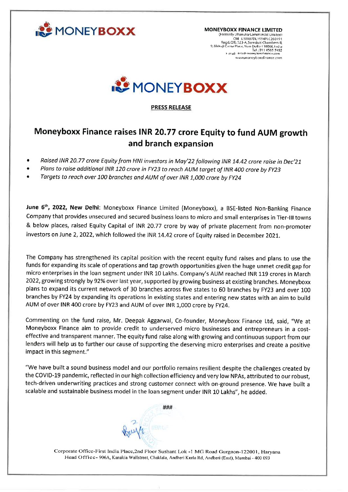

CIN L30907DL1994PLC260191 Regd. Off;; 523-A, Somdutt Chambers-II,<br>9, Bhikaji Cama Place, New Delhi-1 10066, India Tel.:01) 4565 7442 F frail: into money boxxtinan:e.com wewanancyb oxxfinance.com



PRESS RELEASE

# Moneyboxx Finance raises INR 20.77 crore Equity to fund AUM growth and branch expansion

- ° Raised INR 20.77 crore Equity from HNI investors in May'22 following INR 14.42 crore raise in Dec'21
- Plans to raise additional INR 120 crore in FY23 to reach AUM target of INR 400 crore by FY23
- Targets to reach over 100 branches and AUM of over INR 1,000 crore by FY24

June 6<sup>th</sup>, 2022, New Delhi: Moneyboxx Finance Limited (Moneyboxx), a BSE-listed Non-Banking Finance Company that provides unsecured and secured business loans to micro and small enterprises in Tier-Ill towns & below places, raised Equity Capital of INR 20.77 crore by way of private placement from non-promoter investors on June 2, 2022, which followed the INR 14.42 crore of Equity raised in December 2021.

The Company has strengthened its capital position with the recent equity fund raises and plans to use the funds for expanding its scale of operations and tap growth opportunities given the huge unmet credit gap for micro enterprises in the loan segment under INR 10 Lakhs. Company's AUM reached INR 119 crores in March 2022, growing strongly by 92% over last year, supported by growing business at existing branches. Moneyboxx plans to expand its current network of 30 branches across five states to 60 branches by FY23 and over 100 branches by FY24 by expanding its operations in existing states and entering new states with an aim to build AUM of over INR 400 crore by FY23 and AUM of over INR 1,000 crore by FY24. • Raised INR 20.77 crore Equity from HNI investors<br>• Plans to raise additional INR 120 crore in FY23 to<br>• Targets to reach over 100 branches and AUM of<br>Imperior of the proposition and the proposition of the proposition and

Commenting on the fund raise, Mr. Deepak Aggarwal, Co-founder, Moneyboxx Finance Ltd, said, "We at Moneyboxx Finance aim to provide credit to underserved micro businesses and entrepreneurs in a costeffective and transparent manner. The equity fund raise along with growing and continuous support from our lenders will help us to further our cause of supporting the deserving micro enterprises and create a positive impact in this segment."

"We have built a sound business model and our portfolio remains resilient despite the challenges created by the COVID-19 pandemic, reflected in our high collection efficiency and very low NPAs, attributed to our robust, tech-driven underwriting practices and strong customer connect with on-ground presence. We have built a scalable and sustainable business model in the loan segment under INR 10 Lakhs", he added.

HHH

<u> 1980 - Jan Barbara (h. 1980).</u><br>1900 - Jan Britanni, frantziar italiar (h. 1900).

Corporate Office-First India Place,2nd Floor Sushant Lok -1 MG Road Gurgaon-122001, Haryana Head Officc- 906A, Kanakia Wallstreet, Chaklala, Andheri Kurla Rd, Andheri (East), Mumbai - 400 093